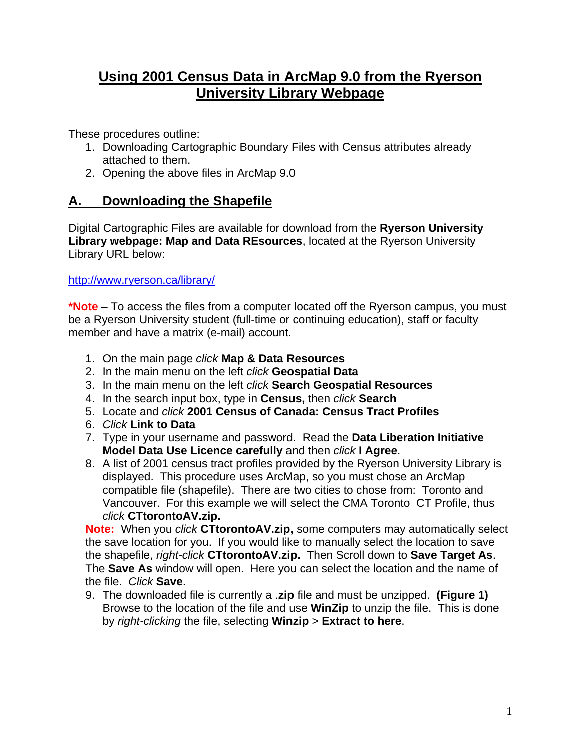## **Using 2001 Census Data in ArcMap 9.0 from the Ryerson University Library Webpage**

These procedures outline:

- 1. Downloading Cartographic Boundary Files with Census attributes already attached to them.
- 2. Opening the above files in ArcMap 9.0

## **A. Downloading the Shapefile**

Digital Cartographic Files are available for download from the **Ryerson University Library webpage: Map and Data REsources**, located at the Ryerson University Library URL below:

[http://www.ryerson.ca/library/](http://0-www.chass.utoronto.ca.innopac.lib.ryerson.ca/datalib/cc01/geospat01.htm)

**\*Note** – To access the files from a computer located off the Ryerson campus, you must be a Ryerson University student (full-time or continuing education), staff or faculty member and have a matrix (e-mail) account.

- 1. On the main page *click* **Map & Data Resources**
- 2. In the main menu on the left *click* **Geospatial Data**
- 3. In the main menu on the left *click* **Search Geospatial Resources**
- 4. In the search input box, type in **Census,** then *click* **Search**
- 5. Locate and *click* **2001 Census of Canada: Census Tract Profiles**
- 6. *Click* **Link to Data**
- 7. Type in your username and password. Read the **Data Liberation Initiative Model Data Use Licence carefully** and then *click* **I Agree**.
- 8. A list of 2001 census tract profiles provided by the Ryerson University Library is displayed. This procedure uses ArcMap, so you must chose an ArcMap compatible file (shapefile). There are two cities to chose from: Toronto and Vancouver. For this example we will select the CMA Toronto CT Profile, thus *click* **CTtorontoAV.zip.**

**Note:** When you *click* **CTtorontoAV.zip,** some computers may automatically select the save location for you. If you would like to manually select the location to save the shapefile, *right-click* **CTtorontoAV.zip.** Then Scroll down to **Save Target As**. The **Save As** window will open. Here you can select the location and the name of the file. *Click* **Save**.

9. The downloaded file is currently a .**zip** file and must be unzipped. **(Figure 1)**  Browse to the location of the file and use **WinZip** to unzip the file. This is done by *right-clicking* the file, selecting **Winzip** > **Extract to here**.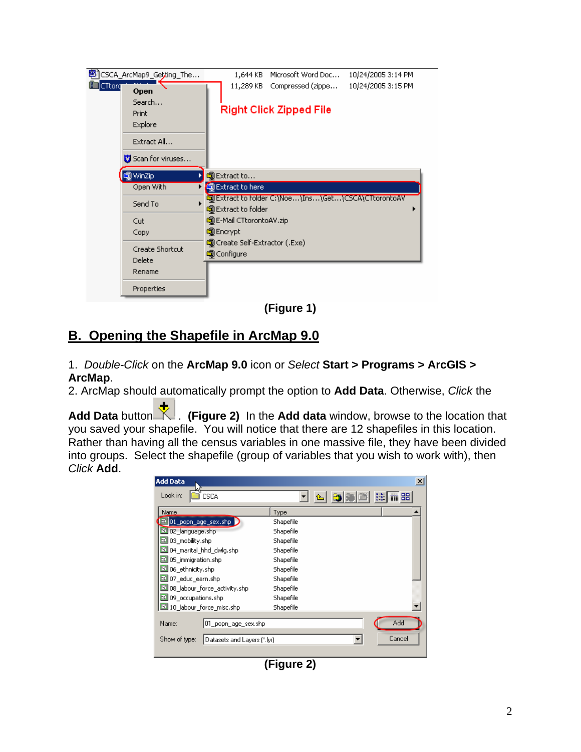

**(Figure 1)** 

## **B. Opening the Shapefile in ArcMap 9.0**

1. *Double-Click* on the **ArcMap 9.0** icon or *Select* **Start > Programs > ArcGIS > ArcMap**.

2. ArcMap should automatically prompt the option to **Add Data**. Otherwise, *Click* the

Add Data button **K**. (Figure 2) In the Add data window, browse to the location that you saved your shapefile. You will notice that there are 12 shapefiles in this location. Rather than having all the census variables in one massive file, they have been divided into groups. Select the shapefile (group of variables that you wish to work with), then *Click* **Add**.



**(Figure 2)**